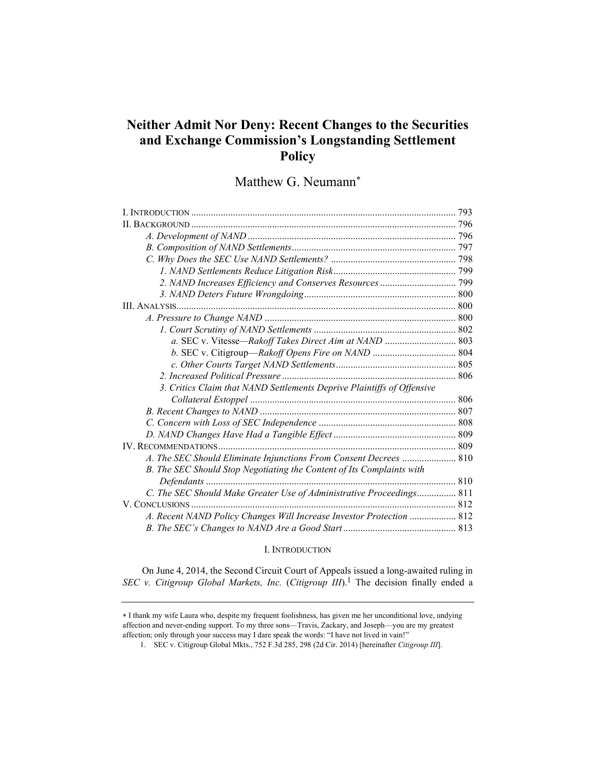# Neither Admit Nor Deny: Recent Changes to the Securities and Exchange Commission's Longstanding Settlement Policy

Matthew G. Neumann<sup>\*</sup>

| a. SEC v. Vitesse-Rakoff Takes Direct Aim at NAND  803                 |  |
|------------------------------------------------------------------------|--|
|                                                                        |  |
|                                                                        |  |
|                                                                        |  |
| 3. Critics Claim that NAND Settlements Deprive Plaintiffs of Offensive |  |
|                                                                        |  |
|                                                                        |  |
|                                                                        |  |
|                                                                        |  |
|                                                                        |  |
| A. The SEC Should Eliminate Injunctions From Consent Decrees  810      |  |
| B. The SEC Should Stop Negotiating the Content of Its Complaints with  |  |
|                                                                        |  |
| C. The SEC Should Make Greater Use of Administrative Proceedings 811   |  |
|                                                                        |  |
| A. Recent NAND Policy Changes Will Increase Investor Protection  812   |  |
|                                                                        |  |

## I. INTRODUCTION

On June 4, 2014, the Second Circuit Court of Appeals issued a long-awaited ruling in SEC v. Citigroup Global Markets, Inc. (Citigroup III).<sup>1</sup> The decision finally ended a

I thank my wife Laura who, despite my frequent foolishness, has given me her unconditional love, undying affection and never-ending support. To my three sons—Travis, Zackary, and Joseph—you are my greatest affection; only through your success may I dare speak the words: "I have not lived in vain!"

 <sup>1.</sup> SEC v. Citigroup Global Mkts., 752 F.3d 285, 298 (2d Cir. 2014) [hereinafter Citigroup III].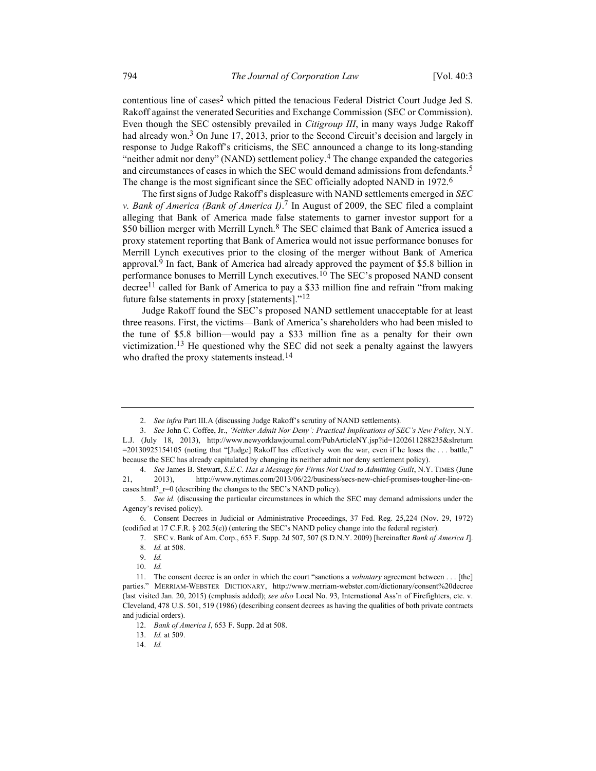contentious line of cases<sup>2</sup> which pitted the tenacious Federal District Court Judge Jed S. Rakoff against the venerated Securities and Exchange Commission (SEC or Commission). Even though the SEC ostensibly prevailed in Citigroup III, in many ways Judge Rakoff had already won.<sup>3</sup> On June 17, 2013, prior to the Second Circuit's decision and largely in response to Judge Rakoff's criticisms, the SEC announced a change to its long-standing "neither admit nor deny" (NAND) settlement policy.<sup>4</sup> The change expanded the categories and circumstances of cases in which the SEC would demand admissions from defendants.<sup>5</sup> The change is the most significant since the SEC officially adopted NAND in 1972.<sup>6</sup>

The first signs of Judge Rakoff's displeasure with NAND settlements emerged in SEC v. Bank of America (Bank of America I).<sup>7</sup> In August of 2009, the SEC filed a complaint alleging that Bank of America made false statements to garner investor support for a \$50 billion merger with Merrill Lynch.<sup>8</sup> The SEC claimed that Bank of America issued a proxy statement reporting that Bank of America would not issue performance bonuses for Merrill Lynch executives prior to the closing of the merger without Bank of America approval.<sup>9</sup> In fact, Bank of America had already approved the payment of \$5.8 billion in performance bonuses to Merrill Lynch executives.10 The SEC's proposed NAND consent decree<sup>11</sup> called for Bank of America to pay a \$33 million fine and refrain "from making future false statements in proxy [statements]."12

Judge Rakoff found the SEC's proposed NAND settlement unacceptable for at least three reasons. First, the victims—Bank of America's shareholders who had been misled to the tune of \$5.8 billion—would pay a \$33 million fine as a penalty for their own victimization.<sup>13</sup> He questioned why the SEC did not seek a penalty against the lawyers who drafted the proxy statements instead.<sup>14</sup>

<sup>2.</sup> See infra Part III.A (discussing Judge Rakoff's scrutiny of NAND settlements).

 <sup>3.</sup> See John C. Coffee, Jr., 'Neither Admit Nor Deny': Practical Implications of SEC's New Policy, N.Y. L.J. (July 18, 2013), http://www.newyorklawjournal.com/PubArticleNY.jsp?id=1202611288235&slreturn =20130925154105 (noting that "[Judge] Rakoff has effectively won the war, even if he loses the . . . battle," because the SEC has already capitulated by changing its neither admit nor deny settlement policy).

<sup>4.</sup> See James B. Stewart, S.E.C. Has a Message for Firms Not Used to Admitting Guilt, N.Y. TIMES (June 21, 2013), http://www.nytimes.com/2013/06/22/business/secs-new-chief-promises-tougher-line-oncases.html?\_r=0 (describing the changes to the SEC's NAND policy).

 <sup>5.</sup> See id. (discussing the particular circumstances in which the SEC may demand admissions under the Agency's revised policy).

 <sup>6.</sup> Consent Decrees in Judicial or Administrative Proceedings, 37 Fed. Reg. 25,224 (Nov. 29, 1972) (codified at 17 C.F.R. § 202.5(e)) (entering the SEC's NAND policy change into the federal register).

 <sup>7.</sup> SEC v. Bank of Am. Corp., 653 F. Supp. 2d 507, 507 (S.D.N.Y. 2009) [hereinafter Bank of America I]. 8. Id. at 508.

 <sup>9.</sup> Id.

 <sup>10.</sup> Id.

<sup>11.</sup> The consent decree is an order in which the court "sanctions a *voluntary* agreement between . . . [the] parties." MERRIAM-WEBSTER DICTIONARY, http://www.merriam-webster.com/dictionary/consent%20decree (last visited Jan. 20, 2015) (emphasis added); see also Local No. 93, International Ass'n of Firefighters, etc. v. Cleveland, 478 U.S. 501, 519 (1986) (describing consent decrees as having the qualities of both private contracts and judicial orders).

 <sup>12.</sup> Bank of America I, 653 F. Supp. 2d at 508.

 <sup>13.</sup> Id. at 509.

 <sup>14.</sup> Id.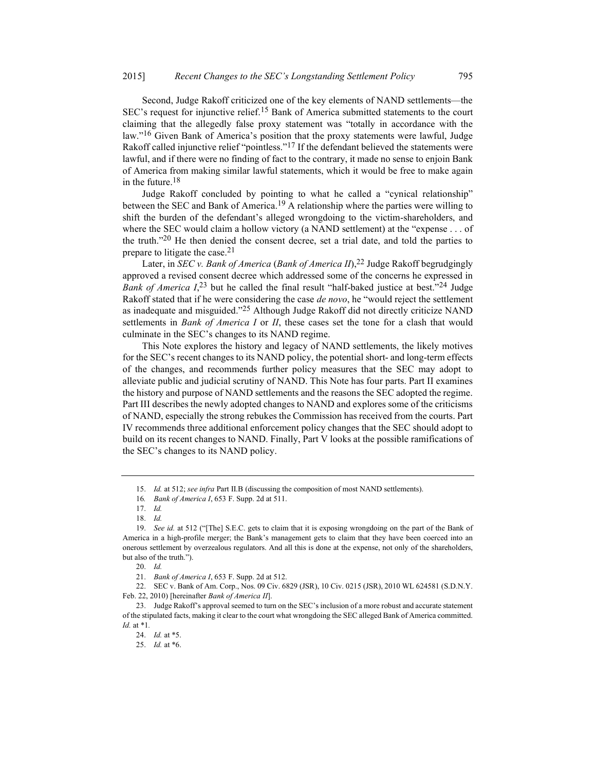Second, Judge Rakoff criticized one of the key elements of NAND settlements—the SEC's request for injunctive relief.15 Bank of America submitted statements to the court claiming that the allegedly false proxy statement was "totally in accordance with the law."16 Given Bank of America's position that the proxy statements were lawful, Judge Rakoff called injunctive relief "pointless."<sup>17</sup> If the defendant believed the statements were lawful, and if there were no finding of fact to the contrary, it made no sense to enjoin Bank of America from making similar lawful statements, which it would be free to make again in the future.<sup>18</sup>

Judge Rakoff concluded by pointing to what he called a "cynical relationship" between the SEC and Bank of America.<sup>19</sup> A relationship where the parties were willing to shift the burden of the defendant's alleged wrongdoing to the victim-shareholders, and where the SEC would claim a hollow victory (a NAND settlement) at the "expense . . . of the truth."20 He then denied the consent decree, set a trial date, and told the parties to prepare to litigate the case. $21$ 

Later, in SEC v. Bank of America (Bank of America II),  $^{22}$  Judge Rakoff begrudgingly approved a revised consent decree which addressed some of the concerns he expressed in Bank of America  $I<sub>1</sub><sup>23</sup>$  but he called the final result "half-baked justice at best."<sup>24</sup> Judge Rakoff stated that if he were considering the case de novo, he "would reject the settlement as inadequate and misguided."<sup>25</sup> Although Judge Rakoff did not directly criticize NAND settlements in Bank of America I or II, these cases set the tone for a clash that would culminate in the SEC's changes to its NAND regime.

This Note explores the history and legacy of NAND settlements, the likely motives for the SEC's recent changes to its NAND policy, the potential short- and long-term effects of the changes, and recommends further policy measures that the SEC may adopt to alleviate public and judicial scrutiny of NAND. This Note has four parts. Part II examines the history and purpose of NAND settlements and the reasons the SEC adopted the regime. Part III describes the newly adopted changes to NAND and explores some of the criticisms of NAND, especially the strong rebukes the Commission has received from the courts. Part IV recommends three additional enforcement policy changes that the SEC should adopt to build on its recent changes to NAND. Finally, Part V looks at the possible ramifications of the SEC's changes to its NAND policy.

 <sup>15.</sup> Id. at 512; see infra Part II.B (discussing the composition of most NAND settlements).

<sup>16</sup>. Bank of America I, 653 F. Supp. 2d at 511.

 <sup>17.</sup> Id.

 <sup>18.</sup> Id.

<sup>19.</sup> See id. at 512 ("[The] S.E.C. gets to claim that it is exposing wrongdoing on the part of the Bank of America in a high-profile merger; the Bank's management gets to claim that they have been coerced into an onerous settlement by overzealous regulators. And all this is done at the expense, not only of the shareholders, but also of the truth.").

 <sup>20.</sup> Id.

 <sup>21.</sup> Bank of America I, 653 F. Supp. 2d at 512.

 <sup>22.</sup> SEC v. Bank of Am. Corp., Nos. 09 Civ. 6829 (JSR), 10 Civ. 0215 (JSR), 2010 WL 624581 (S.D.N.Y. Feb. 22, 2010) [hereinafter Bank of America II].

 <sup>23.</sup> Judge Rakoff's approval seemed to turn on the SEC's inclusion of a more robust and accurate statement of the stipulated facts, making it clear to the court what wrongdoing the SEC alleged Bank of America committed. Id. at  $*1$ .

 <sup>24.</sup> Id. at \*5.

 <sup>25.</sup> Id. at \*6.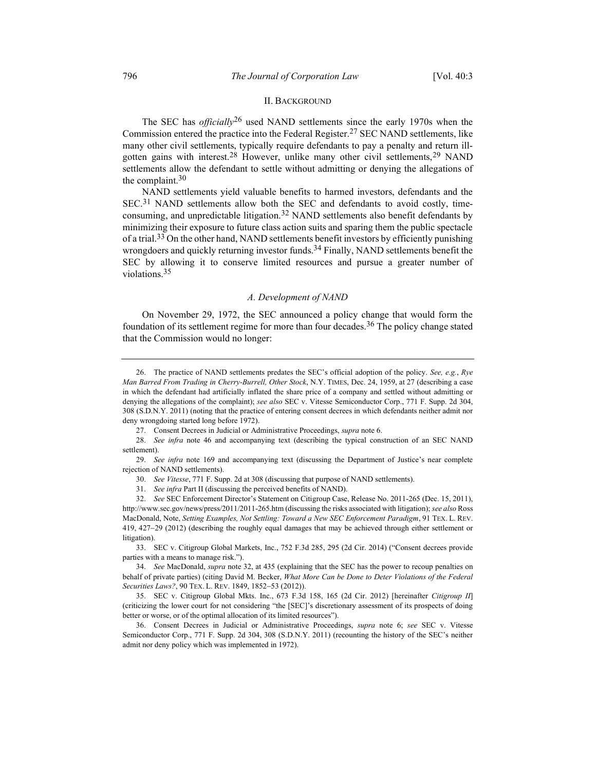#### II. BACKGROUND

The SEC has *officially*<sup>26</sup> used NAND settlements since the early 1970s when the Commission entered the practice into the Federal Register.27 SEC NAND settlements, like many other civil settlements, typically require defendants to pay a penalty and return illgotten gains with interest.<sup>28</sup> However, unlike many other civil settlements,<sup>29</sup> NAND settlements allow the defendant to settle without admitting or denying the allegations of the complaint. $30$ 

NAND settlements yield valuable benefits to harmed investors, defendants and the  $SEC.<sup>31</sup>$  NAND settlements allow both the SEC and defendants to avoid costly, timeconsuming, and unpredictable litigation.32 NAND settlements also benefit defendants by minimizing their exposure to future class action suits and sparing them the public spectacle of a trial.<sup>33</sup> On the other hand, NAND settlements benefit investors by efficiently punishing wrongdoers and quickly returning investor funds.<sup>34</sup> Finally, NAND settlements benefit the SEC by allowing it to conserve limited resources and pursue a greater number of violations.35

#### A. Development of NAND

On November 29, 1972, the SEC announced a policy change that would form the foundation of its settlement regime for more than four decades.<sup>36</sup> The policy change stated that the Commission would no longer:

 33. SEC v. Citigroup Global Markets, Inc., 752 F.3d 285, 295 (2d Cir. 2014) ("Consent decrees provide parties with a means to manage risk.").

 34. See MacDonald, supra note 32, at 435 (explaining that the SEC has the power to recoup penalties on behalf of private parties) (citing David M. Becker, What More Can be Done to Deter Violations of the Federal Securities Laws?, 90 TEX. L. REV. 1849, 1852-53 (2012)).

 35. SEC v. Citigroup Global Mkts. Inc., 673 F.3d 158, 165 (2d Cir. 2012) [hereinafter Citigroup II] (criticizing the lower court for not considering "the [SEC]'s discretionary assessment of its prospects of doing better or worse, or of the optimal allocation of its limited resources").

 36. Consent Decrees in Judicial or Administrative Proceedings, supra note 6; see SEC v. Vitesse Semiconductor Corp., 771 F. Supp. 2d 304, 308 (S.D.N.Y. 2011) (recounting the history of the SEC's neither admit nor deny policy which was implemented in 1972).

 <sup>26.</sup> The practice of NAND settlements predates the SEC's official adoption of the policy. See, e.g., Rye Man Barred From Trading in Cherry-Burrell, Other Stock, N.Y. TIMES, Dec. 24, 1959, at 27 (describing a case in which the defendant had artificially inflated the share price of a company and settled without admitting or denying the allegations of the complaint); see also SEC v. Vitesse Semiconductor Corp., 771 F. Supp. 2d 304, 308 (S.D.N.Y. 2011) (noting that the practice of entering consent decrees in which defendants neither admit nor deny wrongdoing started long before 1972).

 <sup>27.</sup> Consent Decrees in Judicial or Administrative Proceedings, supra note 6.

 <sup>28.</sup> See infra note 46 and accompanying text (describing the typical construction of an SEC NAND settlement).

<sup>29.</sup> See infra note 169 and accompanying text (discussing the Department of Justice's near complete rejection of NAND settlements).

 <sup>30.</sup> See Vitesse, 771 F. Supp. 2d at 308 (discussing that purpose of NAND settlements).

 <sup>31.</sup> See infra Part II (discussing the perceived benefits of NAND).

 <sup>32.</sup> See SEC Enforcement Director's Statement on Citigroup Case, Release No. 2011-265 (Dec. 15, 2011), http://www.sec.gov/news/press/2011/2011-265.htm (discussing the risks associated with litigation); see also Ross MacDonald, Note, Setting Examples, Not Settling: Toward a New SEC Enforcement Paradigm, 91 TEX. L. REV. 419, 427-29 (2012) (describing the roughly equal damages that may be achieved through either settlement or litigation).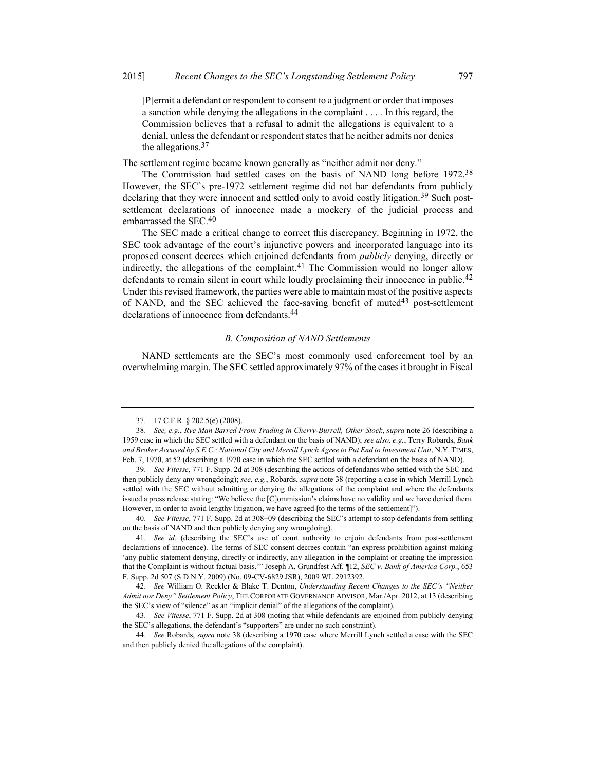[P]ermit a defendant or respondent to consent to a judgment or order that imposes a sanction while denying the allegations in the complaint . . . . In this regard, the Commission believes that a refusal to admit the allegations is equivalent to a denial, unless the defendant or respondent states that he neither admits nor denies the allegations.<sup>37</sup>

The settlement regime became known generally as "neither admit nor deny."

The Commission had settled cases on the basis of NAND long before 1972.<sup>38</sup> However, the SEC's pre-1972 settlement regime did not bar defendants from publicly declaring that they were innocent and settled only to avoid costly litigation.<sup>39</sup> Such postsettlement declarations of innocence made a mockery of the judicial process and embarrassed the SEC.<sup>40</sup>

The SEC made a critical change to correct this discrepancy. Beginning in 1972, the SEC took advantage of the court's injunctive powers and incorporated language into its proposed consent decrees which enjoined defendants from *publicly* denying, directly or indirectly, the allegations of the complaint.<sup>41</sup> The Commission would no longer allow defendants to remain silent in court while loudly proclaiming their innocence in public.<sup>42</sup> Under this revised framework, the parties were able to maintain most of the positive aspects of NAND, and the SEC achieved the face-saving benefit of muted $43$  post-settlement declarations of innocence from defendants.<sup>44</sup>

### B. Composition of NAND Settlements

NAND settlements are the SEC's most commonly used enforcement tool by an overwhelming margin. The SEC settled approximately 97% of the cases it brought in Fiscal

 <sup>37. 17</sup> C.F.R. § 202.5(e) (2008).

 <sup>38.</sup> See, e.g., Rye Man Barred From Trading in Cherry-Burrell, Other Stock, supra note 26 (describing a 1959 case in which the SEC settled with a defendant on the basis of NAND); see also, e.g., Terry Robards, Bank and Broker Accused by S.E.C.: National City and Merrill Lynch Agree to Put End to Investment Unit, N.Y. TIMES, Feb. 7, 1970, at 52 (describing a 1970 case in which the SEC settled with a defendant on the basis of NAND).

 <sup>39.</sup> See Vitesse, 771 F. Supp. 2d at 308 (describing the actions of defendants who settled with the SEC and then publicly deny any wrongdoing); see, e.g., Robards, supra note 38 (reporting a case in which Merrill Lynch settled with the SEC without admitting or denying the allegations of the complaint and where the defendants issued a press release stating: "We believe the [C]ommission's claims have no validity and we have denied them. However, in order to avoid lengthy litigation, we have agreed [to the terms of the settlement]").

<sup>40.</sup> See Vitesse, 771 F. Supp. 2d at 308–09 (describing the SEC's attempt to stop defendants from settling on the basis of NAND and then publicly denying any wrongdoing).

<sup>41.</sup> See id. (describing the SEC's use of court authority to enjoin defendants from post-settlement declarations of innocence). The terms of SEC consent decrees contain "an express prohibition against making 'any public statement denying, directly or indirectly, any allegation in the complaint or creating the impression that the Complaint is without factual basis." Joseph A. Grundfest Aff. [12, SEC v. Bank of America Corp., 653 F. Supp. 2d 507 (S.D.N.Y. 2009) (No. 09-CV-6829 JSR), 2009 WL 2912392.

 <sup>42.</sup> See William O. Reckler & Blake T. Denton, Understanding Recent Changes to the SEC's "Neither Admit nor Deny" Settlement Policy, THE CORPORATE GOVERNANCE ADVISOR, Mar./Apr. 2012, at 13 (describing the SEC's view of "silence" as an "implicit denial" of the allegations of the complaint).

<sup>43.</sup> See Vitesse, 771 F. Supp. 2d at 308 (noting that while defendants are enjoined from publicly denying the SEC's allegations, the defendant's "supporters" are under no such constraint).

<sup>44.</sup> See Robards, *supra* note 38 (describing a 1970 case where Merrill Lynch settled a case with the SEC and then publicly denied the allegations of the complaint).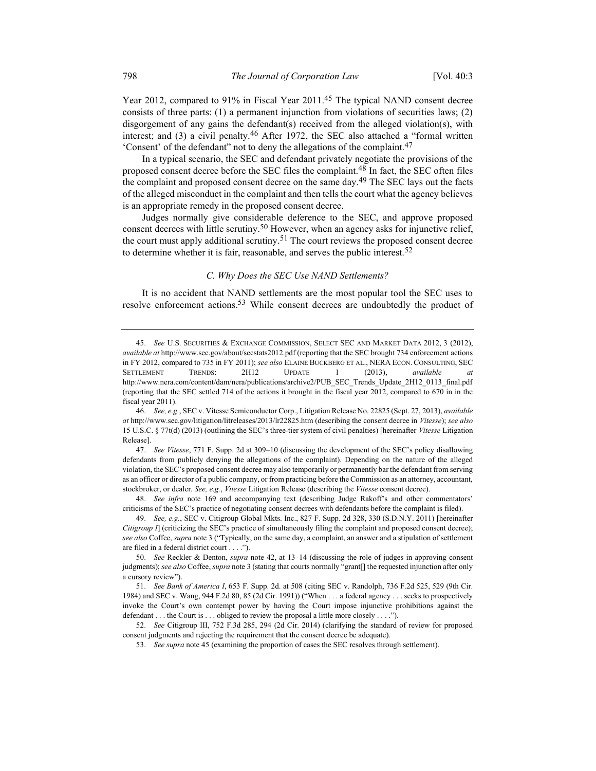Year 2012, compared to 91% in Fiscal Year 2011.45 The typical NAND consent decree consists of three parts: (1) a permanent injunction from violations of securities laws; (2) disgorgement of any gains the defendant(s) received from the alleged violation(s), with interest; and  $(3)$  a civil penalty.<sup>46</sup> After 1972, the SEC also attached a "formal written 'Consent' of the defendant" not to deny the allegations of the complaint.47

In a typical scenario, the SEC and defendant privately negotiate the provisions of the proposed consent decree before the SEC files the complaint.<sup>48</sup> In fact, the SEC often files the complaint and proposed consent decree on the same day.<sup>49</sup> The SEC lays out the facts of the alleged misconduct in the complaint and then tells the court what the agency believes is an appropriate remedy in the proposed consent decree.

Judges normally give considerable deference to the SEC, and approve proposed consent decrees with little scrutiny.<sup>50</sup> However, when an agency asks for injunctive relief, the court must apply additional scrutiny.<sup>51</sup> The court reviews the proposed consent decree to determine whether it is fair, reasonable, and serves the public interest.<sup>52</sup>

#### C. Why Does the SEC Use NAND Settlements?

It is no accident that NAND settlements are the most popular tool the SEC uses to resolve enforcement actions.<sup>53</sup> While consent decrees are undoubtedly the product of

48. See infra note 169 and accompanying text (describing Judge Rakoff's and other commentators' criticisms of the SEC's practice of negotiating consent decrees with defendants before the complaint is filed).

 49. See, e.g., SEC v. Citigroup Global Mkts. Inc., 827 F. Supp. 2d 328, 330 (S.D.N.Y. 2011) [hereinafter Citigroup I] (criticizing the SEC's practice of simultaneously filing the complaint and proposed consent decree); see also Coffee, supra note 3 ("Typically, on the same day, a complaint, an answer and a stipulation of settlement are filed in a federal district court . . . .").

 50. See Reckler & Denton, supra note 42, at 13–14 (discussing the role of judges in approving consent judgments); see also Coffee, supra note 3 (stating that courts normally "grant[] the requested injunction after only a cursory review").

 51. See Bank of America I, 653 F. Supp. 2d. at 508 (citing SEC v. Randolph, 736 F.2d 525, 529 (9th Cir. 1984) and SEC v. Wang, 944 F.2d 80, 85 (2d Cir. 1991)) ("When . . . a federal agency . . . seeks to prospectively invoke the Court's own contempt power by having the Court impose injunctive prohibitions against the defendant . . . the Court is . . . obliged to review the proposal a little more closely . . . .").

 52. See Citigroup III, 752 F.3d 285, 294 (2d Cir. 2014) (clarifying the standard of review for proposed consent judgments and rejecting the requirement that the consent decree be adequate).

53. See supra note 45 (examining the proportion of cases the SEC resolves through settlement).

 <sup>45.</sup> See U.S. SECURITIES & EXCHANGE COMMISSION, SELECT SEC AND MARKET DATA 2012, 3 (2012), available at http://www.sec.gov/about/secstats2012.pdf (reporting that the SEC brought 734 enforcement actions in FY 2012, compared to 735 in FY 2011); see also ELAINE BUCKBERG ET AL., NERA ECON. CONSULTING, SEC SETTLEMENT TRENDS:  $2H12$  UPDATE 1 (2013), available at http://www.nera.com/content/dam/nera/publications/archive2/PUB\_SEC\_Trends\_Update\_2H12\_0113\_final.pdf (reporting that the SEC settled 714 of the actions it brought in the fiscal year 2012, compared to 670 in in the fiscal year 2011).

 <sup>46.</sup> See, e.g., SEC v. Vitesse Semiconductor Corp., Litigation Release No. 22825 (Sept. 27, 2013), available at http://www.sec.gov/litigation/litreleases/2013/lr22825.htm (describing the consent decree in Vitesse); see also 15 U.S.C. § 77t(d) (2013) (outlining the SEC's three-tier system of civil penalties) [hereinafter Vitesse Litigation Release].

<sup>47.</sup> See Vitesse, 771 F. Supp. 2d at 309–10 (discussing the development of the SEC's policy disallowing defendants from publicly denying the allegations of the complaint). Depending on the nature of the alleged violation, the SEC's proposed consent decree may also temporarily or permanently bar the defendant from serving as an officer or director of a public company, or from practicing before the Commission as an attorney, accountant, stockbroker, or dealer. See, e.g., Vitesse Litigation Release (describing the Vitesse consent decree).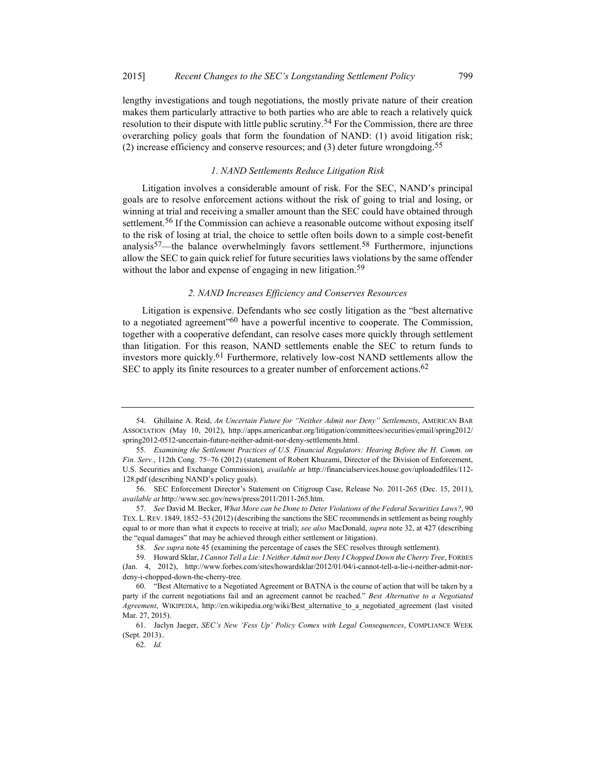lengthy investigations and tough negotiations, the mostly private nature of their creation makes them particularly attractive to both parties who are able to reach a relatively quick resolution to their dispute with little public scrutiny.<sup>54</sup> For the Commission, there are three overarching policy goals that form the foundation of NAND: (1) avoid litigation risk; (2) increase efficiency and conserve resources; and (3) deter future wrongdoing.<sup>55</sup>

#### 1. NAND Settlements Reduce Litigation Risk

Litigation involves a considerable amount of risk. For the SEC, NAND's principal goals are to resolve enforcement actions without the risk of going to trial and losing, or winning at trial and receiving a smaller amount than the SEC could have obtained through settlement.<sup>56</sup> If the Commission can achieve a reasonable outcome without exposing itself to the risk of losing at trial, the choice to settle often boils down to a simple cost-benefit analysis<sup>57</sup>—the balance overwhelmingly favors settlement.<sup>58</sup> Furthermore, injunctions allow the SEC to gain quick relief for future securities laws violations by the same offender without the labor and expense of engaging in new litigation.<sup>59</sup>

### 2. NAND Increases Efficiency and Conserves Resources

Litigation is expensive. Defendants who see costly litigation as the "best alternative to a negotiated agreement<sup> $60$ </sup> have a powerful incentive to cooperate. The Commission, together with a cooperative defendant, can resolve cases more quickly through settlement than litigation. For this reason, NAND settlements enable the SEC to return funds to investors more quickly.<sup>61</sup> Furthermore, relatively low-cost NAND settlements allow the SEC to apply its finite resources to a greater number of enforcement actions.  $62$ 

 <sup>54.</sup> Ghillaine A. Reid, An Uncertain Future for "Neither Admit nor Deny" Settlements, AMERICAN BAR ASSOCIATION (May 10, 2012), http://apps.americanbar.org/litigation/committees/securities/email/spring2012/ spring2012-0512-uncertain-future-neither-admit-nor-deny-settlements.html.

 <sup>55.</sup> Examining the Settlement Practices of U.S. Financial Regulators: Hearing Before the H. Comm. on Fin. Serv., 112th Cong. 75-76 (2012) (statement of Robert Khuzami, Director of the Division of Enforcement, U.S. Securities and Exchange Commission), available at http://financialservices.house.gov/uploadedfiles/112- 128.pdf (describing NAND's policy goals).

 <sup>56.</sup> SEC Enforcement Director's Statement on Citigroup Case, Release No. 2011-265 (Dec. 15, 2011), available at http://www.sec.gov/news/press/2011/2011-265.htm.

 <sup>57.</sup> See David M. Becker, What More can be Done to Deter Violations of the Federal Securities Laws?, 90 TEX. L. REV. 1849, 1852–53 (2012) (describing the sanctions the SEC recommends in settlement as being roughly equal to or more than what it expects to receive at trial); see also MacDonald, supra note 32, at 427 (describing the "equal damages" that may be achieved through either settlement or litigation).

 <sup>58.</sup> See supra note 45 (examining the percentage of cases the SEC resolves through settlement).

<sup>59.</sup> Howard Sklar, I Cannot Tell a Lie: I Neither Admit nor Deny I Chopped Down the Cherry Tree, FORBES (Jan. 4, 2012), http://www.forbes.com/sites/howardsklar/2012/01/04/i-cannot-tell-a-lie-i-neither-admit-nordeny-i-chopped-down-the-cherry-tree.

 <sup>60. &</sup>quot;Best Alternative to a Negotiated Agreement or BATNA is the course of action that will be taken by a party if the current negotiations fail and an agreement cannot be reached." Best Alternative to a Negotiated Agreement, WIKIPEDIA, http://en.wikipedia.org/wiki/Best alternative to a negotiated agreement (last visited Mar. 27, 2015).

 <sup>61.</sup> Jaclyn Jaeger, SEC's New 'Fess Up' Policy Comes with Legal Consequences, COMPLIANCE WEEK (Sept. 2013)..

 <sup>62.</sup> Id.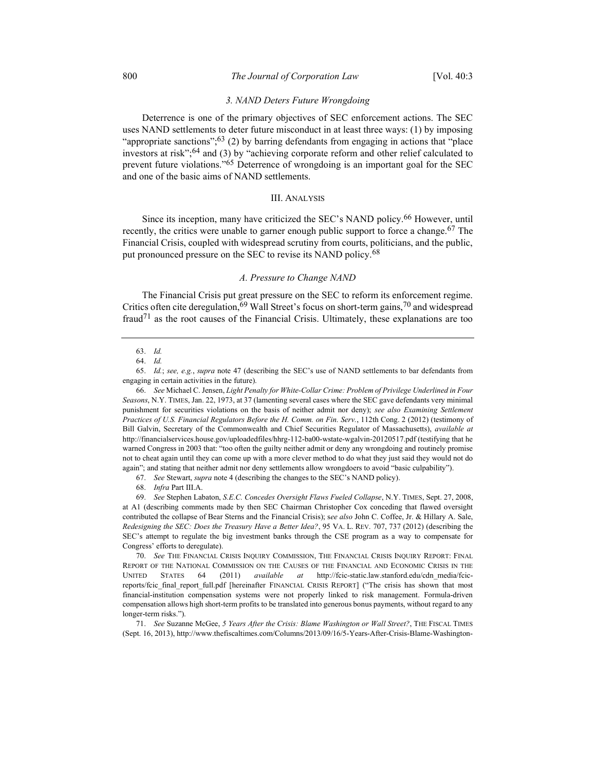#### 3. NAND Deters Future Wrongdoing

Deterrence is one of the primary objectives of SEC enforcement actions. The SEC uses NAND settlements to deter future misconduct in at least three ways: (1) by imposing "appropriate sanctions"; $63$  (2) by barring defendants from engaging in actions that "place investors at risk";64 and (3) by "achieving corporate reform and other relief calculated to prevent future violations."<sup>65</sup> Deterrence of wrongdoing is an important goal for the SEC and one of the basic aims of NAND settlements.

#### III. ANALYSIS

Since its inception, many have criticized the SEC's NAND policy.66 However, until recently, the critics were unable to garner enough public support to force a change.<sup>67</sup> The Financial Crisis, coupled with widespread scrutiny from courts, politicians, and the public, put pronounced pressure on the SEC to revise its NAND policy.<sup>68</sup>

# A. Pressure to Change NAND

The Financial Crisis put great pressure on the SEC to reform its enforcement regime. Critics often cite deregulation,  $69$  Wall Street's focus on short-term gains,  $70$  and widespread fraud<sup>71</sup> as the root causes of the Financial Crisis. Ultimately, these explanations are too

 <sup>63.</sup> Id.

 <sup>64.</sup> Id.

 <sup>65.</sup> Id.; see, e.g., supra note 47 (describing the SEC's use of NAND settlements to bar defendants from engaging in certain activities in the future).

 <sup>66.</sup> See Michael C. Jensen, Light Penalty for White-Collar Crime: Problem of Privilege Underlined in Four Seasons, N.Y. TIMES, Jan. 22, 1973, at 37 (lamenting several cases where the SEC gave defendants very minimal punishment for securities violations on the basis of neither admit nor deny); see also Examining Settlement Practices of U.S. Financial Regulators Before the H. Comm. on Fin. Serv., 112th Cong. 2 (2012) (testimony of Bill Galvin, Secretary of the Commonwealth and Chief Securities Regulator of Massachusetts), available at http://financialservices.house.gov/uploadedfiles/hhrg-112-ba00-wstate-wgalvin-20120517.pdf (testifying that he warned Congress in 2003 that: "too often the guilty neither admit or deny any wrongdoing and routinely promise not to cheat again until they can come up with a more clever method to do what they just said they would not do again"; and stating that neither admit nor deny settlements allow wrongdoers to avoid "basic culpability").

 <sup>67.</sup> See Stewart, supra note 4 (describing the changes to the SEC's NAND policy).

 <sup>68.</sup> Infra Part III.A.

 <sup>69.</sup> See Stephen Labaton, S.E.C. Concedes Oversight Flaws Fueled Collapse, N.Y. TIMES, Sept. 27, 2008, at A1 (describing comments made by then SEC Chairman Christopher Cox conceding that flawed oversight contributed the collapse of Bear Sterns and the Financial Crisis); see also John C. Coffee, Jr. & Hillary A. Sale, Redesigning the SEC: Does the Treasury Have a Better Idea?, 95 VA. L. REV. 707, 737 (2012) (describing the SEC's attempt to regulate the big investment banks through the CSE program as a way to compensate for Congress' efforts to deregulate).

 <sup>70.</sup> See THE FINANCIAL CRISIS INQUIRY COMMISSION, THE FINANCIAL CRISIS INQUIRY REPORT: FINAL REPORT OF THE NATIONAL COMMISSION ON THE CAUSES OF THE FINANCIAL AND ECONOMIC CRISIS IN THE UNITED STATES 64 (2011) *available at* http://fcic-static.law.stanford.edu/cdn media/fcicreports/fcic final report full.pdf [hereinafter FINANCIAL CRISIS REPORT] ("The crisis has shown that most financial-institution compensation systems were not properly linked to risk management. Formula-driven compensation allows high short-term profits to be translated into generous bonus payments, without regard to any longer-term risks.").

 <sup>71.</sup> See Suzanne McGee, 5 Years After the Crisis: Blame Washington or Wall Street?, THE FISCAL TIMES (Sept. 16, 2013), http://www.thefiscaltimes.com/Columns/2013/09/16/5-Years-After-Crisis-Blame-Washington-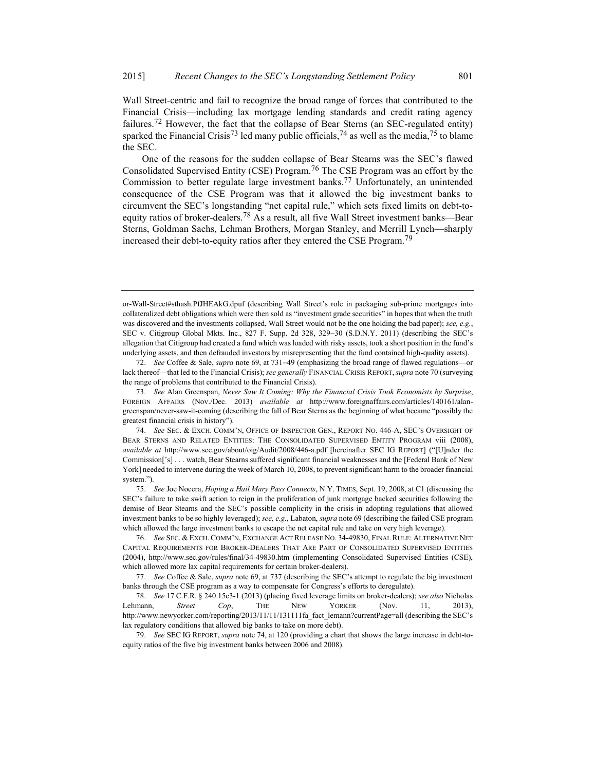Wall Street-centric and fail to recognize the broad range of forces that contributed to the Financial Crisis—including lax mortgage lending standards and credit rating agency failures.<sup>72</sup> However, the fact that the collapse of Bear Sterns (an SEC-regulated entity) sparked the Financial Crisis<sup>73</sup> led many public officials,<sup>74</sup> as well as the media,<sup>75</sup> to blame the SEC.

One of the reasons for the sudden collapse of Bear Stearns was the SEC's flawed Consolidated Supervised Entity (CSE) Program.76 The CSE Program was an effort by the Commission to better regulate large investment banks.<sup>77</sup> Unfortunately, an unintended consequence of the CSE Program was that it allowed the big investment banks to circumvent the SEC's longstanding "net capital rule," which sets fixed limits on debt-toequity ratios of broker-dealers.<sup>78</sup> As a result, all five Wall Street investment banks—Bear Sterns, Goldman Sachs, Lehman Brothers, Morgan Stanley, and Merrill Lynch—sharply increased their debt-to-equity ratios after they entered the CSE Program.<sup>79</sup>

or-Wall-Street#sthash.PfJHEAkG.dpuf (describing Wall Street's role in packaging sub-prime mortgages into collateralized debt obligations which were then sold as "investment grade securities" in hopes that when the truth was discovered and the investments collapsed, Wall Street would not be the one holding the bad paper); see, e.g., SEC v. Citigroup Global Mkts. Inc., 827 F. Supp. 2d 328, 329-30 (S.D.N.Y. 2011) (describing the SEC's allegation that Citigroup had created a fund which was loaded with risky assets, took a short position in the fund's underlying assets, and then defrauded investors by misrepresenting that the fund contained high-quality assets).

<sup>72.</sup> See Coffee & Sale, *supra* note 69, at  $731-49$  (emphasizing the broad range of flawed regulations—or lack thereof—that led to the Financial Crisis); see generally FINANCIAL CRISIS REPORT, supra note 70 (surveying the range of problems that contributed to the Financial Crisis).

 <sup>73.</sup> See Alan Greenspan, Never Saw It Coming: Why the Financial Crisis Took Economists by Surprise, FOREIGN AFFAIRS (Nov./Dec. 2013) available at http://www.foreignaffairs.com/articles/140161/alangreenspan/never-saw-it-coming (describing the fall of Bear Sterns as the beginning of what became "possibly the greatest financial crisis in history").

 <sup>74.</sup> See SEC. & EXCH. COMM'N, OFFICE OF INSPECTOR GEN., REPORT NO. 446-A, SEC'S OVERSIGHT OF BEAR STERNS AND RELATED ENTITIES: THE CONSOLIDATED SUPERVISED ENTITY PROGRAM viii (2008), available at http://www.sec.gov/about/oig/Audit/2008/446-a.pdf [hereinafter SEC IG REPORT] ("[U]nder the Commission['s] . . . watch, Bear Stearns suffered significant financial weaknesses and the [Federal Bank of New York] needed to intervene during the week of March 10, 2008, to prevent significant harm to the broader financial system.").

 <sup>75.</sup> See Joe Nocera, Hoping a Hail Mary Pass Connects, N.Y. TIMES, Sept. 19, 2008, at C1 (discussing the SEC's failure to take swift action to reign in the proliferation of junk mortgage backed securities following the demise of Bear Stearns and the SEC's possible complicity in the crisis in adopting regulations that allowed investment banks to be so highly leveraged); see, e.g., Labaton, supra note 69 (describing the failed CSE program which allowed the large investment banks to escape the net capital rule and take on very high leverage).

 <sup>76.</sup> See SEC. & EXCH. COMM'N, EXCHANGE ACT RELEASE NO. 34-49830, FINAL RULE: ALTERNATIVE NET CAPITAL REQUIREMENTS FOR BROKER-DEALERS THAT ARE PART OF CONSOLIDATED SUPERVISED ENTITIES (2004), http://www.sec.gov/rules/final/34-49830.htm (implementing Consolidated Supervised Entities (CSE), which allowed more lax capital requirements for certain broker-dealers).

<sup>77.</sup> See Coffee & Sale, supra note 69, at 737 (describing the SEC's attempt to regulate the big investment banks through the CSE program as a way to compensate for Congress's efforts to deregulate).

 <sup>78.</sup> See 17 C.F.R. § 240.15c3-1 (2013) (placing fixed leverage limits on broker-dealers); see also Nicholas Lehmann, *Street Cop*, THE NEW YORKER (Nov. 11, 2013), http://www.newyorker.com/reporting/2013/11/11/131111fa\_fact\_lemann?currentPage=all (describing the SEC's lax regulatory conditions that allowed big banks to take on more debt).

 <sup>79.</sup> See SEC IG REPORT, supra note 74, at 120 (providing a chart that shows the large increase in debt-toequity ratios of the five big investment banks between 2006 and 2008).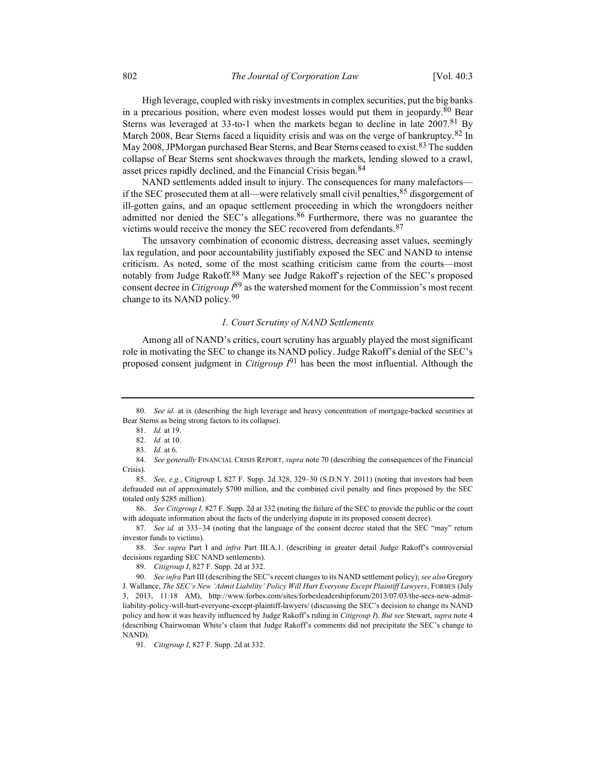High leverage, coupled with risky investments in complex securities, put the big banks in a precarious position, where even modest losses would put them in jeopardy.<sup>80</sup> Bear Sterns was leveraged at 33-to-1 when the markets began to decline in late  $2007<sup>81</sup>$  By March 2008, Bear Sterns faced a liquidity crisis and was on the verge of bankruptcy.82 In May 2008, JPMorgan purchased Bear Sterns, and Bear Sterns ceased to exist.<sup>83</sup> The sudden collapse of Bear Sterns sent shockwaves through the markets, lending slowed to a crawl, asset prices rapidly declined, and the Financial Crisis began.<sup>84</sup>

NAND settlements added insult to injury. The consequences for many malefactors if the SEC prosecuted them at all—were relatively small civil penalties,  $85$  disgorgement of ill-gotten gains, and an opaque settlement proceeding in which the wrongdoers neither admitted nor denied the SEC's allegations.<sup>86</sup> Furthermore, there was no guarantee the victims would receive the money the SEC recovered from defendants.<sup>87</sup>

The unsavory combination of economic distress, decreasing asset values, seemingly lax regulation, and poor accountability justifiably exposed the SEC and NAND to intense criticism. As noted, some of the most scathing criticism came from the courts—most notably from Judge Rakoff.<sup>88</sup> Many see Judge Rakoff's rejection of the SEC's proposed consent decree in *Citigroup*  $I^{89}$  as the watershed moment for the Commission's most recent change to its NAND policy.<sup>90</sup>

#### 1. Court Scrutiny of NAND Settlements

Among all of NAND's critics, court scrutiny has arguably played the most significant role in motivating the SEC to change its NAND policy. Judge Rakoff's denial of the SEC's proposed consent judgment in *Citigroup*  $I^{91}$  has been the most influential. Although the

 86. See Citigroup I, 827 F. Supp. 2d at 332 (noting the failure of the SEC to provide the public or the court with adequate information about the facts of the underlying dispute in its proposed consent decree).

87. See id. at 333-34 (noting that the language of the consent decree stated that the SEC "may" return investor funds to victims).

88. See supra Part I and infra Part III.A.1. (describing in greater detail Judge Rakoff's controversial decisions regarding SEC NAND settlements).

89. Citigroup I, 827 F. Supp. 2d at 332.

90. See infra Part III (describing the SEC's recent changes to its NAND settlement policy); see also Gregory J. Wallance, The SEC's New 'Admit Liability' Policy Will Hurt Everyone Except Plaintiff Lawyers, FORBES (July 3, 2013, 11:18 AM), http://www.forbes.com/sites/forbesleadershipforum/2013/07/03/the-secs-new-admitliability-policy-will-hurt-everyone-except-plaintiff-lawyers/ (discussing the SEC's decision to change its NAND policy and how it was heavily influenced by Judge Rakoff's ruling in Citigroup I). But see Stewart, supra note 4 (describing Chairwoman White's claim that Judge Rakoff's comments did not precipitate the SEC's change to NAND).

91. *Citigroup I*, 827 F. Supp. 2d at 332.

<sup>80.</sup> See id. at ix (describing the high leverage and heavy concentration of mortgage-backed securities at Bear Sterns as being strong factors to its collapse).

 <sup>81.</sup> Id. at 19.

 <sup>82.</sup> Id. at 10.

 <sup>83.</sup> Id. at 6.

<sup>84.</sup> See generally FINANCIAL CRISIS REPORT, supra note 70 (describing the consequences of the Financial Crisis).

 <sup>85.</sup> See, e.g., Citigroup I, 827 F. Supp. 2d 328, 329–30 (S.D.N.Y. 2011) (noting that investors had been defrauded out of approximately \$700 million, and the combined civil penalty and fines proposed by the SEC totaled only \$285 million).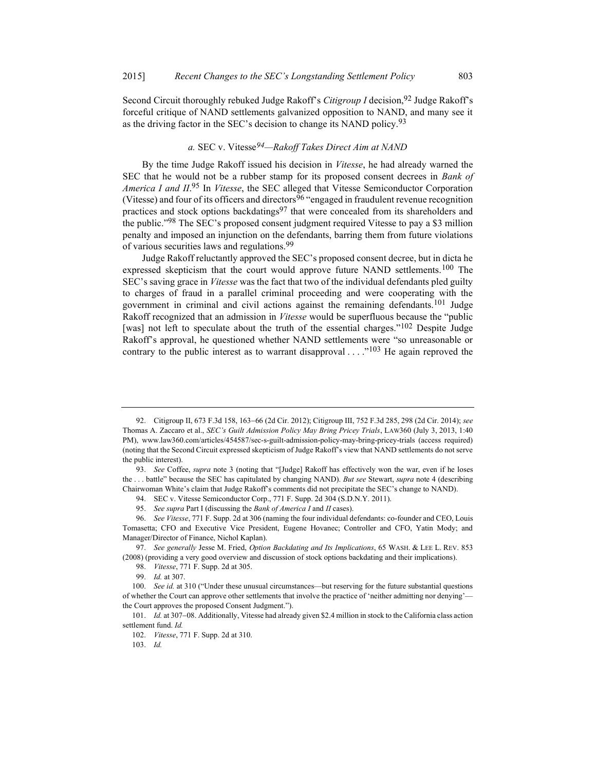Second Circuit thoroughly rebuked Judge Rakoff's Citigroup I decision,  $92$  Judge Rakoff's forceful critique of NAND settlements galvanized opposition to NAND, and many see it as the driving factor in the SEC's decision to change its NAND policy.<sup>93</sup>

# a. SEC v. Vitesse<sup>94</sup>-Rakoff Takes Direct Aim at NAND

By the time Judge Rakoff issued his decision in Vitesse, he had already warned the SEC that he would not be a rubber stamp for its proposed consent decrees in Bank of America I and II.<sup>95</sup> In Vitesse, the SEC alleged that Vitesse Semiconductor Corporation (Vitesse) and four of its officers and directors  $96$  "engaged in fraudulent revenue recognition practices and stock options backdatings $97$  that were concealed from its shareholders and the public."<sup>98</sup> The SEC's proposed consent judgment required Vitesse to pay a \$3 million penalty and imposed an injunction on the defendants, barring them from future violations of various securities laws and regulations.99

Judge Rakoff reluctantly approved the SEC's proposed consent decree, but in dicta he expressed skepticism that the court would approve future NAND settlements.<sup>100</sup> The SEC's saving grace in *Vitesse* was the fact that two of the individual defendants pled guilty to charges of fraud in a parallel criminal proceeding and were cooperating with the government in criminal and civil actions against the remaining defendants.<sup>101</sup> Judge Rakoff recognized that an admission in Vitesse would be superfluous because the "public [was] not left to speculate about the truth of the essential charges."<sup>102</sup> Despite Judge Rakoff's approval, he questioned whether NAND settlements were "so unreasonable or contrary to the public interest as to warrant disapproval  $\dots$ <sup>103</sup> He again reproved the

103. Id.

<sup>92.</sup> Citigroup II, 673 F.3d 158, 163-66 (2d Cir. 2012); Citigroup III, 752 F.3d 285, 298 (2d Cir. 2014); see Thomas A. Zaccaro et al., SEC's Guilt Admission Policy May Bring Pricey Trials, LAW360 (July 3, 2013, 1:40 PM), www.law360.com/articles/454587/sec-s-guilt-admission-policy-may-bring-pricey-trials (access required) (noting that the Second Circuit expressed skepticism of Judge Rakoff's view that NAND settlements do not serve the public interest).

 <sup>93.</sup> See Coffee, supra note 3 (noting that "[Judge] Rakoff has effectively won the war, even if he loses the ... battle" because the SEC has capitulated by changing NAND). But see Stewart, supra note 4 (describing Chairwoman White's claim that Judge Rakoff's comments did not precipitate the SEC's change to NAND).

 <sup>94.</sup> SEC v. Vitesse Semiconductor Corp., 771 F. Supp. 2d 304 (S.D.N.Y. 2011).

See supra Part I (discussing the Bank of America I and II cases).

 <sup>96.</sup> See Vitesse, 771 F. Supp. 2d at 306 (naming the four individual defendants: co-founder and CEO, Louis Tomasetta; CFO and Executive Vice President, Eugene Hovanec; Controller and CFO, Yatin Mody; and Manager/Director of Finance, Nichol Kaplan).

<sup>97.</sup> See generally Jesse M. Fried, Option Backdating and Its Implications, 65 WASH. & LEE L. REV. 853 (2008) (providing a very good overview and discussion of stock options backdating and their implications).

 <sup>98.</sup> Vitesse, 771 F. Supp. 2d at 305.

 <sup>99.</sup> Id. at 307.

<sup>100.</sup> See id. at 310 ("Under these unusual circumstances—but reserving for the future substantial questions of whether the Court can approve other settlements that involve the practice of 'neither admitting nor denying' the Court approves the proposed Consent Judgment.").

<sup>101.</sup> Id. at 307–08. Additionally, Vitesse had already given \$2.4 million in stock to the California class action settlement fund. Id.

 <sup>102.</sup> Vitesse, 771 F. Supp. 2d at 310.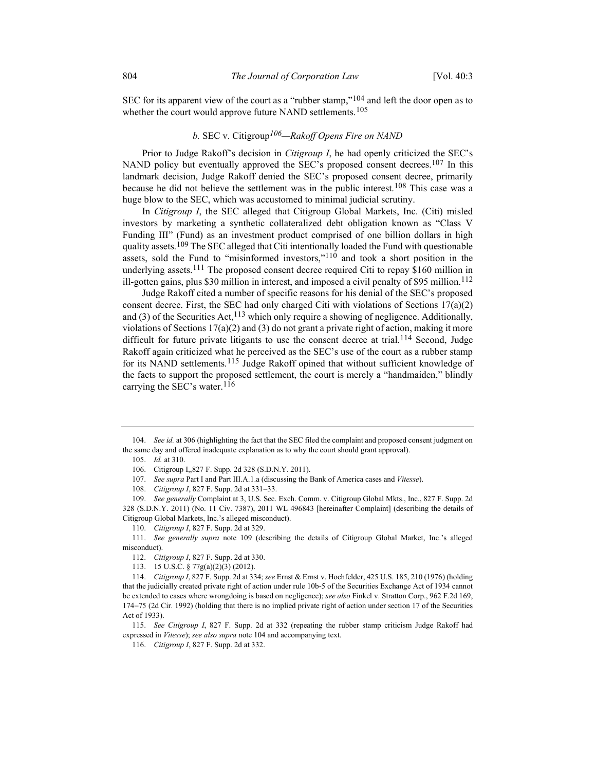SEC for its apparent view of the court as a "rubber stamp,"<sup>104</sup> and left the door open as to whether the court would approve future NAND settlements.<sup>105</sup>

# b. SEC v. Citigroup<sup>106</sup>—Rakoff Opens Fire on NAND

Prior to Judge Rakoff's decision in *Citigroup I*, he had openly criticized the SEC's NAND policy but eventually approved the SEC's proposed consent decrees.<sup>107</sup> In this landmark decision, Judge Rakoff denied the SEC's proposed consent decree, primarily because he did not believe the settlement was in the public interest.<sup>108</sup> This case was a huge blow to the SEC, which was accustomed to minimal judicial scrutiny.

In Citigroup I, the SEC alleged that Citigroup Global Markets, Inc. (Citi) misled investors by marketing a synthetic collateralized debt obligation known as "Class V Funding III" (Fund) as an investment product comprised of one billion dollars in high quality assets.<sup>109</sup> The SEC alleged that Citi intentionally loaded the Fund with questionable assets, sold the Fund to "misinformed investors,"<sup>110</sup> and took a short position in the underlying assets.<sup>111</sup> The proposed consent decree required Citi to repay \$160 million in ill-gotten gains, plus \$30 million in interest, and imposed a civil penalty of \$95 million.<sup>112</sup>

Judge Rakoff cited a number of specific reasons for his denial of the SEC's proposed consent decree. First, the SEC had only charged Citi with violations of Sections 17(a)(2) and (3) of the Securities Act,  $113$  which only require a showing of negligence. Additionally, violations of Sections  $17(a)(2)$  and  $(3)$  do not grant a private right of action, making it more difficult for future private litigants to use the consent decree at trial.<sup>114</sup> Second, Judge Rakoff again criticized what he perceived as the SEC's use of the court as a rubber stamp for its NAND settlements.115 Judge Rakoff opined that without sufficient knowledge of the facts to support the proposed settlement, the court is merely a "handmaiden," blindly carrying the SEC's water.  $116$ 

<sup>104.</sup> See id. at 306 (highlighting the fact that the SEC filed the complaint and proposed consent judgment on the same day and offered inadequate explanation as to why the court should grant approval).

 <sup>105.</sup> Id. at 310.

 <sup>106.</sup> Citigroup I,,827 F. Supp. 2d 328 (S.D.N.Y. 2011).

 <sup>107.</sup> See supra Part I and Part III.A.1.a (discussing the Bank of America cases and Vitesse).

<sup>108.</sup> *Citigroup I*, 827 F. Supp. 2d at 331–33.

 <sup>109.</sup> See generally Complaint at 3, U.S. Sec. Exch. Comm. v. Citigroup Global Mkts., Inc., 827 F. Supp. 2d 328 (S.D.N.Y. 2011) (No. 11 Civ. 7387), 2011 WL 496843 [hereinafter Complaint] (describing the details of Citigroup Global Markets, Inc.'s alleged misconduct).

 <sup>110.</sup> Citigroup I, 827 F. Supp. 2d at 329.

 <sup>111.</sup> See generally supra note 109 (describing the details of Citigroup Global Market, Inc.'s alleged misconduct).

 <sup>112.</sup> Citigroup I, 827 F. Supp. 2d at 330.

 <sup>113. 15</sup> U.S.C. § 77g(a)(2)(3) (2012).

 <sup>114.</sup> Citigroup I, 827 F. Supp. 2d at 334; see Ernst & Ernst v. Hochfelder, 425 U.S. 185, 210 (1976) (holding that the judicially created private right of action under rule 10b-5 of the Securities Exchange Act of 1934 cannot be extended to cases where wrongdoing is based on negligence); see also Finkel v. Stratton Corp., 962 F.2d 169, 17475 (2d Cir. 1992) (holding that there is no implied private right of action under section 17 of the Securities Act of 1933).

 <sup>115.</sup> See Citigroup I, 827 F. Supp. 2d at 332 (repeating the rubber stamp criticism Judge Rakoff had expressed in Vitesse); see also supra note 104 and accompanying text.

 <sup>116.</sup> Citigroup I, 827 F. Supp. 2d at 332.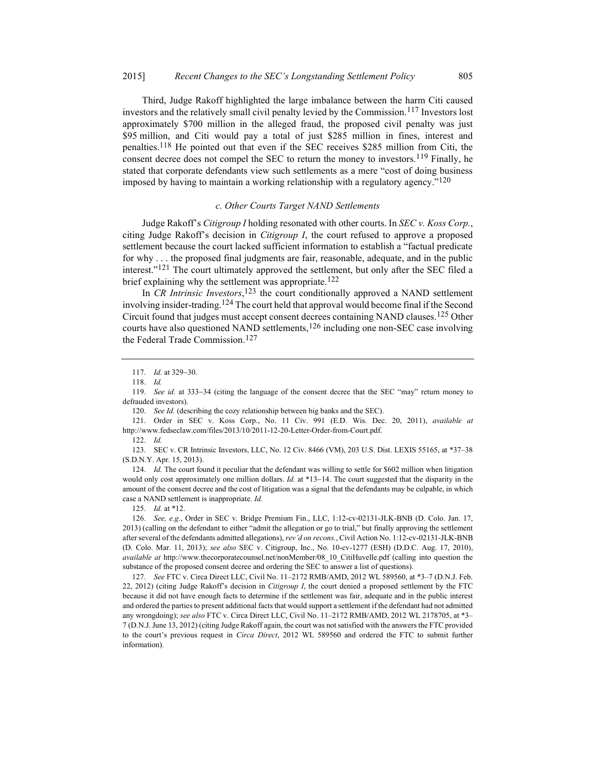Third, Judge Rakoff highlighted the large imbalance between the harm Citi caused investors and the relatively small civil penalty levied by the Commission.117 Investors lost approximately \$700 million in the alleged fraud, the proposed civil penalty was just \$95 million, and Citi would pay a total of just \$285 million in fines, interest and penalties.118 He pointed out that even if the SEC receives \$285 million from Citi, the consent decree does not compel the SEC to return the money to investors.<sup>119</sup> Finally, he stated that corporate defendants view such settlements as a mere "cost of doing business imposed by having to maintain a working relationship with a regulatory agency." $120$ 

#### c. Other Courts Target NAND Settlements

Judge Rakoff's Citigroup I holding resonated with other courts. In SEC v. Koss Corp., citing Judge Rakoff's decision in *Citigroup I*, the court refused to approve a proposed settlement because the court lacked sufficient information to establish a "factual predicate for why . . . the proposed final judgments are fair, reasonable, adequate, and in the public interest."<sup>121</sup> The court ultimately approved the settlement, but only after the SEC filed a brief explaining why the settlement was appropriate.<sup>122</sup>

In CR Intrinsic Investors,  $123$  the court conditionally approved a NAND settlement involving insider-trading.<sup>124</sup> The court held that approval would become final if the Second Circuit found that judges must accept consent decrees containing NAND clauses.125 Other courts have also questioned NAND settlements,  $126$  including one non-SEC case involving the Federal Trade Commission.127

 121. Order in SEC v. Koss Corp., No. 11 Civ. 991 (E.D. Wis. Dec. 20, 2011), available at http://www.fedseclaw.com/files/2013/10/2011-12-20-Letter-Order-from-Court.pdf.

122. Id.

 123. SEC v. CR Intrinsic Investors, LLC, No. 12 Civ. 8466 (VM), 203 U.S. Dist. LEXIS 55165, at \*37–38 (S.D.N.Y. Apr. 15, 2013).

 124. Id. The court found it peculiar that the defendant was willing to settle for \$602 million when litigation would only cost approximately one million dollars. Id. at \*13-14. The court suggested that the disparity in the amount of the consent decree and the cost of litigation was a signal that the defendants may be culpable, in which case a NAND settlement is inappropriate. Id.

125. Id. at \*12.

<sup>117.</sup> *Id.* at 329-30.

 <sup>118.</sup> Id.

<sup>119.</sup> See id. at 333-34 (citing the language of the consent decree that the SEC "may" return money to defrauded investors).

<sup>120.</sup> See Id. (describing the cozy relationship between big banks and the SEC).

 <sup>126.</sup> See, e.g., Order in SEC v. Bridge Premium Fin., LLC, 1:12-cv-02131-JLK-BNB (D. Colo. Jan. 17, 2013) (calling on the defendant to either "admit the allegation or go to trial," but finally approving the settlement after several of the defendants admitted allegations), rev'd on recons., Civil Action No. 1:12-cv-02131-JLK-BNB (D. Colo. Mar. 11, 2013); see also SEC v. Citigroup, Inc., No. 10-cv-1277 (ESH) (D.D.C. Aug. 17, 2010), available at http://www.thecorporatecounsel.net/nonMember/08\_10\_CitiHuvelle.pdf (calling into question the substance of the proposed consent decree and ordering the SEC to answer a list of questions).

 <sup>127.</sup> See FTC v. Circa Direct LLC, Civil No. 11–2172 RMB/AMD, 2012 WL 589560, at \*3–7 (D.N.J. Feb. 22, 2012) (citing Judge Rakoff's decision in *Citigroup I*, the court denied a proposed settlement by the FTC because it did not have enough facts to determine if the settlement was fair, adequate and in the public interest and ordered the parties to present additional facts that would support a settlement if the defendant had not admitted any wrongdoing); see also FTC v. Circa Direct LLC, Civil No. 11–2172 RMB/AMD, 2012 WL 2178705, at \*3– 7 (D.N.J. June 13, 2012) (citing Judge Rakoff again, the court was not satisfied with the answers the FTC provided to the court's previous request in Circa Direct, 2012 WL 589560 and ordered the FTC to submit further information).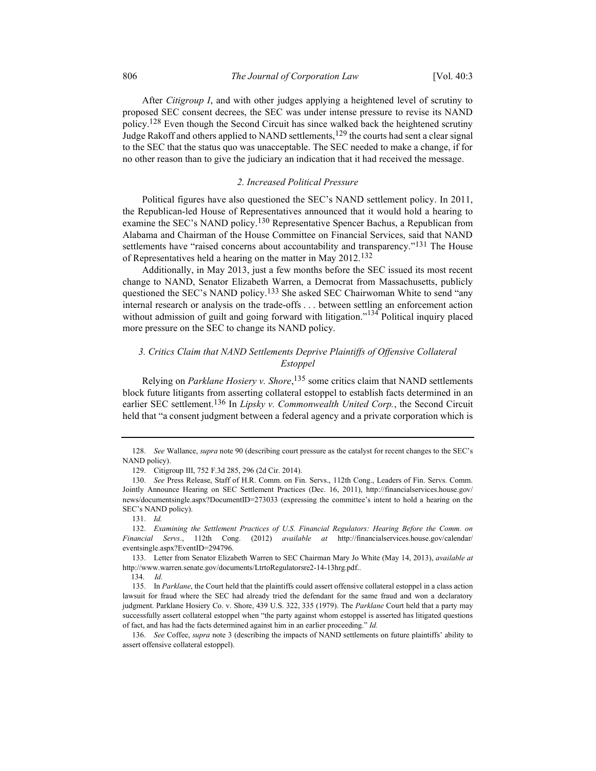After Citigroup I, and with other judges applying a heightened level of scrutiny to proposed SEC consent decrees, the SEC was under intense pressure to revise its NAND policy.<sup>128</sup> Even though the Second Circuit has since walked back the heightened scrutiny Judge Rakoff and others applied to NAND settlements,<sup>129</sup> the courts had sent a clear signal to the SEC that the status quo was unacceptable. The SEC needed to make a change, if for no other reason than to give the judiciary an indication that it had received the message.

# 2. Increased Political Pressure

Political figures have also questioned the SEC's NAND settlement policy. In 2011, the Republican-led House of Representatives announced that it would hold a hearing to examine the SEC's NAND policy.<sup>130</sup> Representative Spencer Bachus, a Republican from Alabama and Chairman of the House Committee on Financial Services, said that NAND settlements have "raised concerns about accountability and transparency."<sup>131</sup> The House of Representatives held a hearing on the matter in May 2012.<sup>132</sup>

Additionally, in May 2013, just a few months before the SEC issued its most recent change to NAND, Senator Elizabeth Warren, a Democrat from Massachusetts, publicly questioned the SEC's NAND policy.<sup>133</sup> She asked SEC Chairwoman White to send "any internal research or analysis on the trade-offs . . . between settling an enforcement action without admission of guilt and going forward with litigation."<sup>134</sup> Political inquiry placed more pressure on the SEC to change its NAND policy.

# 3. Critics Claim that NAND Settlements Deprive Plaintiffs of Offensive Collateral Estoppel

Relying on Parklane Hosiery v. Shore, <sup>135</sup> some critics claim that NAND settlements block future litigants from asserting collateral estoppel to establish facts determined in an earlier SEC settlement.<sup>136</sup> In *Lipsky v. Commonwealth United Corp.*, the Second Circuit held that "a consent judgment between a federal agency and a private corporation which is

<sup>128.</sup> See Wallance, supra note 90 (describing court pressure as the catalyst for recent changes to the SEC's NAND policy).

 <sup>129.</sup> Citigroup III, 752 F.3d 285, 296 (2d Cir. 2014).

 <sup>130.</sup> See Press Release, Staff of H.R. Comm. on Fin. Servs., 112th Cong., Leaders of Fin. Servs. Comm. Jointly Announce Hearing on SEC Settlement Practices (Dec. 16, 2011), http://financialservices.house.gov/ news/documentsingle.aspx?DocumentID=273033 (expressing the committee's intent to hold a hearing on the SEC's NAND policy).

 <sup>131.</sup> Id.

 <sup>132.</sup> Examining the Settlement Practices of U.S. Financial Regulators: Hearing Before the Comm. on Financial Servs., 112th Cong. (2012) available at http://financialservices.house.gov/calendar/ eventsingle.aspx?EventID=294796.

<sup>133.</sup> Letter from Senator Elizabeth Warren to SEC Chairman Mary Jo White (May 14, 2013), available at http://www.warren.senate.gov/documents/LtrtoRegulatorsre2-14-13hrg.pdf..

 <sup>134.</sup> Id.

<sup>135.</sup> In Parklane, the Court held that the plaintiffs could assert offensive collateral estoppel in a class action lawsuit for fraud where the SEC had already tried the defendant for the same fraud and won a declaratory judgment. Parklane Hosiery Co. v. Shore, 439 U.S. 322, 335 (1979). The Parklane Court held that a party may successfully assert collateral estoppel when "the party against whom estoppel is asserted has litigated questions of fact, and has had the facts determined against him in an earlier proceeding." Id.

<sup>136.</sup> See Coffee, *supra* note 3 (describing the impacts of NAND settlements on future plaintiffs' ability to assert offensive collateral estoppel).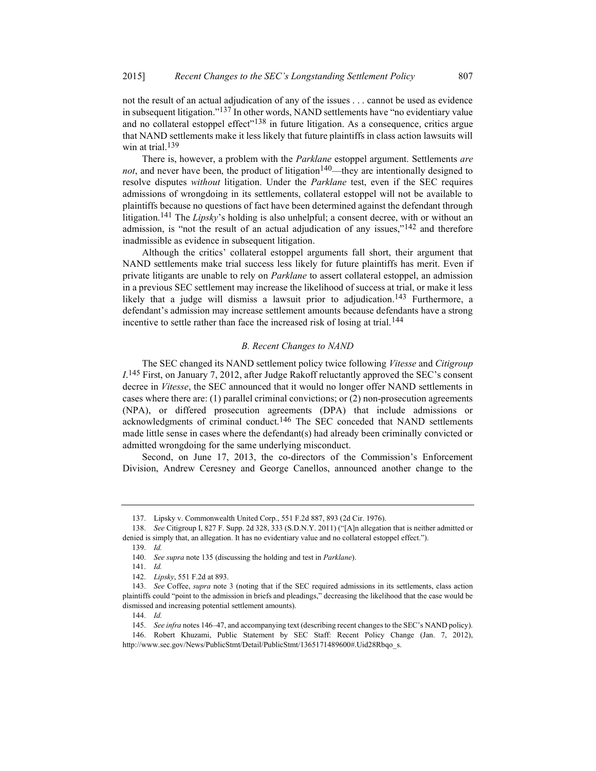not the result of an actual adjudication of any of the issues . . . cannot be used as evidence in subsequent litigation."<sup>137</sup> In other words, NAND settlements have "no evidentiary value and no collateral estoppel effect<sup> $n$ 138</sup> in future litigation. As a consequence, critics argue that NAND settlements make it less likely that future plaintiffs in class action lawsuits will win at trial.<sup>139</sup>

There is, however, a problem with the *Parklane* estoppel argument. Settlements are not, and never have been, the product of litigation<sup>140</sup>—they are intentionally designed to resolve disputes without litigation. Under the Parklane test, even if the SEC requires admissions of wrongdoing in its settlements, collateral estoppel will not be available to plaintiffs because no questions of fact have been determined against the defendant through litigation.<sup>141</sup> The *Lipsky*'s holding is also unhelpful; a consent decree, with or without an admission, is "not the result of an actual adjudication of any issues," $142$  and therefore inadmissible as evidence in subsequent litigation.

Although the critics' collateral estoppel arguments fall short, their argument that NAND settlements make trial success less likely for future plaintiffs has merit. Even if private litigants are unable to rely on *Parklane* to assert collateral estoppel, an admission in a previous SEC settlement may increase the likelihood of success at trial, or make it less likely that a judge will dismiss a lawsuit prior to adjudication.<sup>143</sup> Furthermore, a defendant's admission may increase settlement amounts because defendants have a strong incentive to settle rather than face the increased risk of losing at trial.<sup>144</sup>

#### B. Recent Changes to NAND

The SEC changed its NAND settlement policy twice following Vitesse and Citigroup  $I^{145}$  First, on January 7, 2012, after Judge Rakoff reluctantly approved the SEC's consent decree in Vitesse, the SEC announced that it would no longer offer NAND settlements in cases where there are: (1) parallel criminal convictions; or (2) non-prosecution agreements (NPA), or differed prosecution agreements (DPA) that include admissions or acknowledgments of criminal conduct.<sup>146</sup> The SEC conceded that NAND settlements made little sense in cases where the defendant(s) had already been criminally convicted or admitted wrongdoing for the same underlying misconduct.

Second, on June 17, 2013, the co-directors of the Commission's Enforcement Division, Andrew Ceresney and George Canellos, announced another change to the

139. Id.

 <sup>137.</sup> Lipsky v. Commonwealth United Corp., 551 F.2d 887, 893 (2d Cir. 1976).

 <sup>138.</sup> See Citigroup I, 827 F. Supp. 2d 328, 333 (S.D.N.Y. 2011) ("[A]n allegation that is neither admitted or denied is simply that, an allegation. It has no evidentiary value and no collateral estoppel effect.").

 <sup>140.</sup> See supra note 135 (discussing the holding and test in Parklane).

 <sup>141.</sup> Id.

 <sup>142.</sup> Lipsky, 551 F.2d at 893.

<sup>143.</sup> See Coffee, supra note 3 (noting that if the SEC required admissions in its settlements, class action plaintiffs could "point to the admission in briefs and pleadings," decreasing the likelihood that the case would be dismissed and increasing potential settlement amounts).

 <sup>144.</sup> Id.

 <sup>145.</sup> See infra notes 146–47, and accompanying text (describing recent changes to the SEC's NAND policy).

 <sup>146.</sup> Robert Khuzami, Public Statement by SEC Staff: Recent Policy Change (Jan. 7, 2012), http://www.sec.gov/News/PublicStmt/Detail/PublicStmt/1365171489600#.Uid28Rbqo\_s.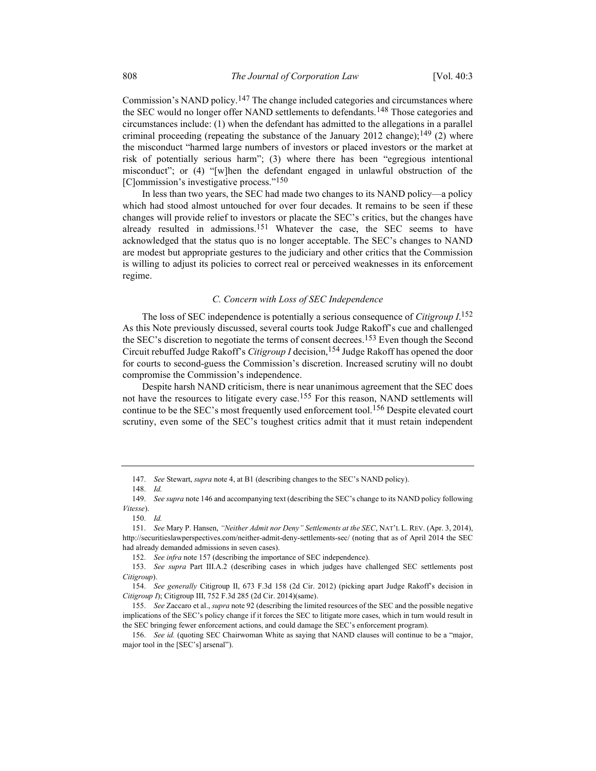Commission's NAND policy.<sup>147</sup> The change included categories and circumstances where the SEC would no longer offer NAND settlements to defendants.<sup>148</sup> Those categories and circumstances include: (1) when the defendant has admitted to the allegations in a parallel criminal proceeding (repeating the substance of the January 2012 change);<sup>149</sup> (2) where the misconduct "harmed large numbers of investors or placed investors or the market at risk of potentially serious harm"; (3) where there has been "egregious intentional misconduct"; or (4) "[w]hen the defendant engaged in unlawful obstruction of the [C]ommission's investigative process."<sup>150</sup>

In less than two years, the SEC had made two changes to its NAND policy—a policy which had stood almost untouched for over four decades. It remains to be seen if these changes will provide relief to investors or placate the SEC's critics, but the changes have already resulted in admissions.<sup>151</sup> Whatever the case, the SEC seems to have acknowledged that the status quo is no longer acceptable. The SEC's changes to NAND are modest but appropriate gestures to the judiciary and other critics that the Commission is willing to adjust its policies to correct real or perceived weaknesses in its enforcement regime.

# C. Concern with Loss of SEC Independence

The loss of SEC independence is potentially a serious consequence of Citigroup  $I^{152}$ As this Note previously discussed, several courts took Judge Rakoff's cue and challenged the SEC's discretion to negotiate the terms of consent decrees.<sup>153</sup> Even though the Second Circuit rebuffed Judge Rakoff's Citigroup I decision, <sup>154</sup> Judge Rakoff has opened the door for courts to second-guess the Commission's discretion. Increased scrutiny will no doubt compromise the Commission's independence.

Despite harsh NAND criticism, there is near unanimous agreement that the SEC does not have the resources to litigate every case.<sup>155</sup> For this reason, NAND settlements will continue to be the SEC's most frequently used enforcement tool.<sup>156</sup> Despite elevated court scrutiny, even some of the SEC's toughest critics admit that it must retain independent

 <sup>147.</sup> See Stewart, supra note 4, at B1 (describing changes to the SEC's NAND policy).

 <sup>148.</sup> Id.

<sup>149.</sup> See supra note 146 and accompanying text (describing the SEC's change to its NAND policy following Vitesse).

 <sup>150.</sup> Id.

 <sup>151.</sup> See Mary P. Hansen, "Neither Admit nor Deny" Settlements at the SEC, NAT'L L. REV. (Apr. 3, 2014), http://securitieslawperspectives.com/neither-admit-deny-settlements-sec/ (noting that as of April 2014 the SEC had already demanded admissions in seven cases).

 <sup>152.</sup> See infra note 157 (describing the importance of SEC independence).

 <sup>153.</sup> See supra Part III.A.2 (describing cases in which judges have challenged SEC settlements post Citigroup).

 <sup>154.</sup> See generally Citigroup II, 673 F.3d 158 (2d Cir. 2012) (picking apart Judge Rakoff's decision in Citigroup I); Citigroup III, 752 F.3d 285 (2d Cir. 2014)(same).

 <sup>155.</sup> See Zaccaro et al., supra note 92 (describing the limited resources of the SEC and the possible negative implications of the SEC's policy change if it forces the SEC to litigate more cases, which in turn would result in the SEC bringing fewer enforcement actions, and could damage the SEC's enforcement program).

 <sup>156.</sup> See id. (quoting SEC Chairwoman White as saying that NAND clauses will continue to be a "major, major tool in the [SEC's] arsenal").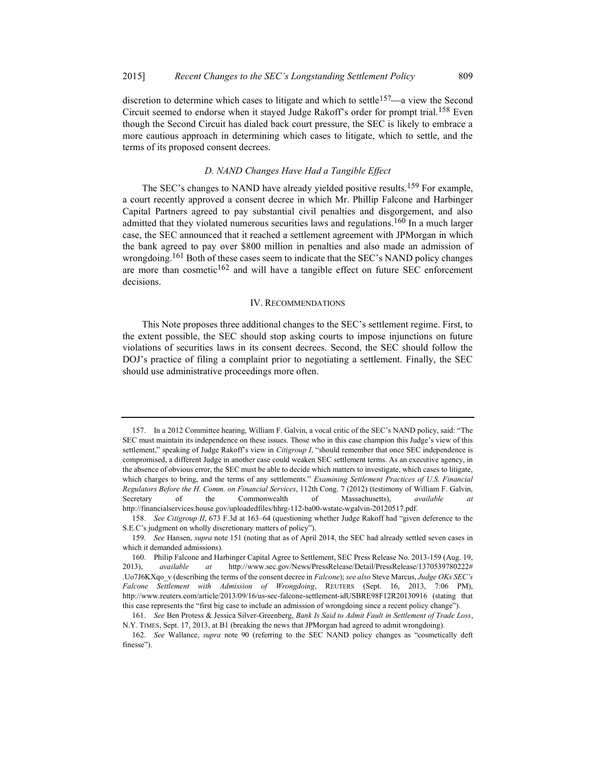discretion to determine which cases to litigate and which to settle<sup>157</sup>—a view the Second Circuit seemed to endorse when it stayed Judge Rakoff's order for prompt trial.158 Even though the Second Circuit has dialed back court pressure, the SEC is likely to embrace a more cautious approach in determining which cases to litigate, which to settle, and the terms of its proposed consent decrees.

# D. NAND Changes Have Had a Tangible Effect

The SEC's changes to NAND have already yielded positive results.<sup>159</sup> For example, a court recently approved a consent decree in which Mr. Phillip Falcone and Harbinger Capital Partners agreed to pay substantial civil penalties and disgorgement, and also admitted that they violated numerous securities laws and regulations.<sup>160</sup> In a much larger case, the SEC announced that it reached a settlement agreement with JPMorgan in which the bank agreed to pay over \$800 million in penalties and also made an admission of wrongdoing.<sup>161</sup> Both of these cases seem to indicate that the SEC's NAND policy changes are more than cosmetic $162$  and will have a tangible effect on future SEC enforcement decisions.

### IV. RECOMMENDATIONS

This Note proposes three additional changes to the SEC's settlement regime. First, to the extent possible, the SEC should stop asking courts to impose injunctions on future violations of securities laws in its consent decrees. Second, the SEC should follow the DOJ's practice of filing a complaint prior to negotiating a settlement. Finally, the SEC should use administrative proceedings more often.

 <sup>157.</sup> In a 2012 Committee hearing, William F. Galvin, a vocal critic of the SEC's NAND policy, said: "The SEC must maintain its independence on these issues. Those who in this case champion this Judge's view of this settlement," speaking of Judge Rakoff's view in Citigroup I, "should remember that once SEC independence is compromised, a different Judge in another case could weaken SEC settlement terms. As an executive agency, in the absence of obvious error, the SEC must be able to decide which matters to investigate, which cases to litigate, which charges to bring, and the terms of any settlements." Examining Settlement Practices of U.S. Financial Regulators Before the H. Comm. on Financial Services, 112th Cong. 7 (2012) (testimony of William F. Galvin, Secretary of the Commonwealth of Massachusetts), *available at* http://financialservices.house.gov/uploadedfiles/hhrg-112-ba00-wstate-wgalvin-20120517.pdf.

 <sup>158.</sup> See Citigroup II, 673 F.3d at 163–64 (questioning whether Judge Rakoff had "given deference to the S.E.C's judgment on wholly discretionary matters of policy").

<sup>159.</sup> See Hansen, supra note 151 (noting that as of April 2014, the SEC had already settled seven cases in which it demanded admissions).

 <sup>160.</sup> Philip Falcone and Harbinger Capital Agree to Settlement, SEC Press Release No. 2013-159 (Aug. 19, 2013), available at http://www.sec.gov/News/PressRelease/Detail/PressRelease/1370539780222# .Uo7J6KXqo v (describing the terms of the consent decree in Falcone); see also Steve Marcus, Judge OKs SEC's Falcone Settlement with Admission of Wrongdoing, REUTERS (Sept. 16, 2013, 7:06 PM), http://www.reuters.com/article/2013/09/16/us-sec-falcone-settlement-idUSBRE98F12R20130916 (stating that this case represents the "first big case to include an admission of wrongdoing since a recent policy change").

 <sup>161.</sup> See Ben Protess & Jessica Silver-Greenberg, Bank Is Said to Admit Fault in Settlement of Trade Loss, N.Y. TIMES, Sept. 17, 2013, at B1 (breaking the news that JPMorgan had agreed to admit wrongdoing).

 <sup>162.</sup> See Wallance, supra note 90 (referring to the SEC NAND policy changes as "cosmetically deft finesse").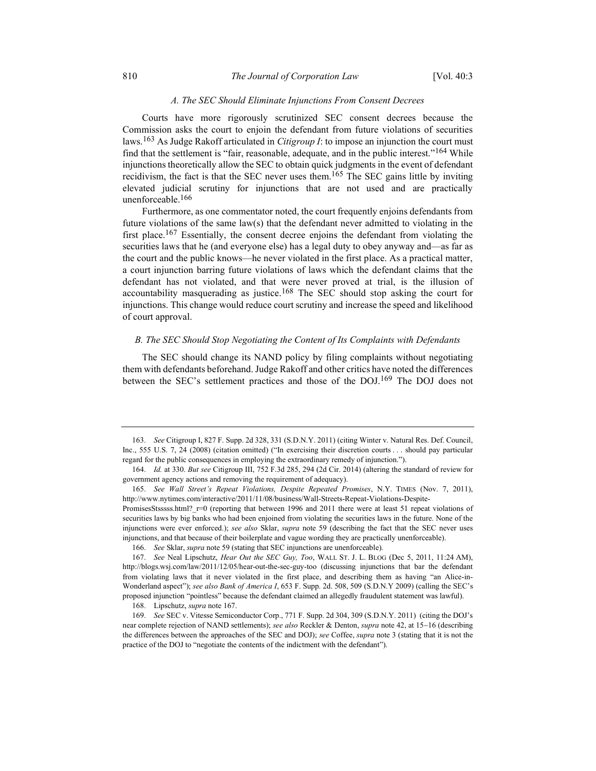# A. The SEC Should Eliminate Injunctions From Consent Decrees

Courts have more rigorously scrutinized SEC consent decrees because the Commission asks the court to enjoin the defendant from future violations of securities laws.<sup>163</sup> As Judge Rakoff articulated in *Citigroup I*: to impose an injunction the court must find that the settlement is "fair, reasonable, adequate, and in the public interest."164 While injunctions theoretically allow the SEC to obtain quick judgments in the event of defendant recidivism, the fact is that the SEC never uses them.<sup>165</sup> The SEC gains little by inviting elevated judicial scrutiny for injunctions that are not used and are practically unenforceable.166

Furthermore, as one commentator noted, the court frequently enjoins defendants from future violations of the same law(s) that the defendant never admitted to violating in the first place.167 Essentially, the consent decree enjoins the defendant from violating the securities laws that he (and everyone else) has a legal duty to obey anyway and—as far as the court and the public knows—he never violated in the first place. As a practical matter, a court injunction barring future violations of laws which the defendant claims that the defendant has not violated, and that were never proved at trial, is the illusion of accountability masquerading as justice.<sup>168</sup> The SEC should stop asking the court for injunctions. This change would reduce court scrutiny and increase the speed and likelihood of court approval.

### B. The SEC Should Stop Negotiating the Content of Its Complaints with Defendants

The SEC should change its NAND policy by filing complaints without negotiating them with defendants beforehand. Judge Rakoff and other critics have noted the differences between the SEC's settlement practices and those of the DOJ.<sup>169</sup> The DOJ does not

 <sup>163.</sup> See Citigroup I, 827 F. Supp. 2d 328, 331 (S.D.N.Y. 2011) (citing Winter v. Natural Res. Def. Council, Inc., 555 U.S. 7, 24 (2008) (citation omitted) ("In exercising their discretion courts . . . should pay particular regard for the public consequences in employing the extraordinary remedy of injunction.").

 <sup>164.</sup> Id. at 330. But see Citigroup III, 752 F.3d 285, 294 (2d Cir. 2014) (altering the standard of review for government agency actions and removing the requirement of adequacy).

 <sup>165.</sup> See Wall Street's Repeat Violations, Despite Repeated Promises, N.Y. TIMES (Nov. 7, 2011), http://www.nytimes.com/interactive/2011/11/08/business/Wall-Streets-Repeat-Violations-Despite-

PromisesStsssss.html? r=0 (reporting that between 1996 and 2011 there were at least 51 repeat violations of securities laws by big banks who had been enjoined from violating the securities laws in the future. None of the injunctions were ever enforced.); see also Sklar, supra note 59 (describing the fact that the SEC never uses injunctions, and that because of their boilerplate and vague wording they are practically unenforceable).

 <sup>166.</sup> See Sklar, supra note 59 (stating that SEC injunctions are unenforceable).

 <sup>167.</sup> See Neal Lipschutz, Hear Out the SEC Guy, Too, WALL ST. J. L. BLOG (Dec 5, 2011, 11:24 AM), http://blogs.wsj.com/law/2011/12/05/hear-out-the-sec-guy-too (discussing injunctions that bar the defendant from violating laws that it never violated in the first place, and describing them as having "an Alice-in-Wonderland aspect"); see also Bank of America I, 653 F. Supp. 2d. 508, 509 (S.D.N.Y 2009) (calling the SEC's proposed injunction "pointless" because the defendant claimed an allegedly fraudulent statement was lawful).

 <sup>168.</sup> Lipschutz, supra note 167.

 <sup>169.</sup> See SEC v. Vitesse Semiconductor Corp., 771 F. Supp. 2d 304, 309 (S.D.N.Y. 2011) (citing the DOJ's near complete rejection of NAND settlements); see also Reckler & Denton, supra note 42, at 15-16 (describing the differences between the approaches of the SEC and DOJ); see Coffee, supra note 3 (stating that it is not the practice of the DOJ to "negotiate the contents of the indictment with the defendant").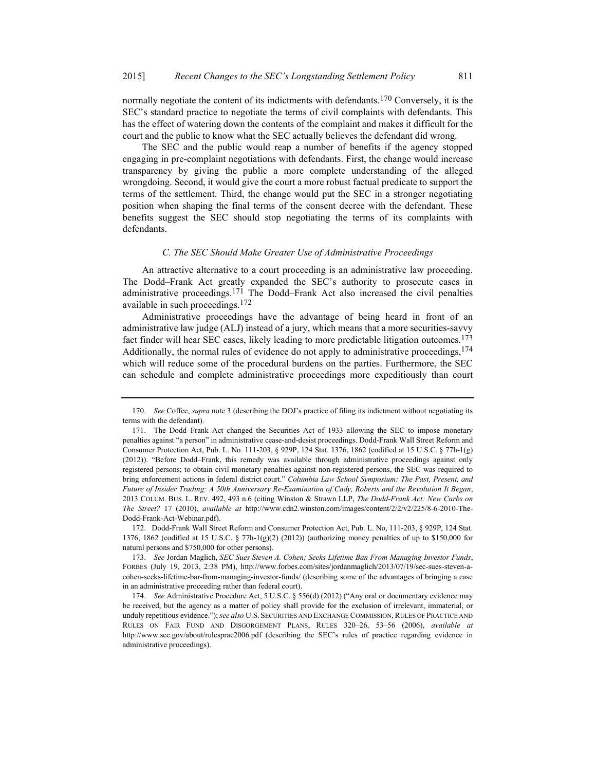normally negotiate the content of its indictments with defendants.<sup>170</sup> Conversely, it is the SEC's standard practice to negotiate the terms of civil complaints with defendants. This has the effect of watering down the contents of the complaint and makes it difficult for the court and the public to know what the SEC actually believes the defendant did wrong.

The SEC and the public would reap a number of benefits if the agency stopped engaging in pre-complaint negotiations with defendants. First, the change would increase transparency by giving the public a more complete understanding of the alleged wrongdoing. Second, it would give the court a more robust factual predicate to support the terms of the settlement. Third, the change would put the SEC in a stronger negotiating position when shaping the final terms of the consent decree with the defendant. These benefits suggest the SEC should stop negotiating the terms of its complaints with defendants.

#### C. The SEC Should Make Greater Use of Administrative Proceedings

An attractive alternative to a court proceeding is an administrative law proceeding. The Dodd–Frank Act greatly expanded the SEC's authority to prosecute cases in administrative proceedings.<sup>171</sup> The Dodd–Frank Act also increased the civil penalties available in such proceedings.172

Administrative proceedings have the advantage of being heard in front of an administrative law judge (ALJ) instead of a jury, which means that a more securities-savvy fact finder will hear SEC cases, likely leading to more predictable litigation outcomes.173 Additionally, the normal rules of evidence do not apply to administrative proceedings,  $174$ which will reduce some of the procedural burdens on the parties. Furthermore, the SEC can schedule and complete administrative proceedings more expeditiously than court

 172. Dodd-Frank Wall Street Reform and Consumer Protection Act, Pub. L. No, 111-203, § 929P, 124 Stat. 1376, 1862 (codified at 15 U.S.C. § 77h-1(g)(2) (2012)) (authorizing money penalties of up to \$150,000 for natural persons and \$750,000 for other persons).

<sup>170.</sup> See Coffee, supra note 3 (describing the DOJ's practice of filing its indictment without negotiating its terms with the defendant).

 <sup>171.</sup> The Dodd–Frank Act changed the Securities Act of 1933 allowing the SEC to impose monetary penalties against "a person" in administrative cease-and-desist proceedings. Dodd-Frank Wall Street Reform and Consumer Protection Act, Pub. L. No. 111-203, § 929P, 124 Stat. 1376, 1862 (codified at 15 U.S.C. § 77h-1(g) (2012)). "Before Dodd–Frank, this remedy was available through administrative proceedings against only registered persons; to obtain civil monetary penalties against non-registered persons, the SEC was required to bring enforcement actions in federal district court." Columbia Law School Symposium: The Past, Present, and Future of Insider Trading: A 50th Anniversary Re-Examination of Cady, Roberts and the Revolution It Began, 2013 COLUM. BUS. L. REV. 492, 493 n.6 (citing Winston & Strawn LLP, The Dodd-Frank Act: New Curbs on The Street? 17 (2010), available at http://www.cdn2.winston.com/images/content/2/2/v2/225/8-6-2010-The-Dodd-Frank-Act-Webinar.pdf).

 <sup>173.</sup> See Jordan Maglich, SEC Sues Steven A. Cohen; Seeks Lifetime Ban From Managing Investor Funds, FORBES (July 19, 2013, 2:38 PM), http://www.forbes.com/sites/jordanmaglich/2013/07/19/sec-sues-steven-acohen-seeks-lifetime-bar-from-managing-investor-funds/ (describing some of the advantages of bringing a case in an administrative proceeding rather than federal court).

 <sup>174.</sup> See Administrative Procedure Act, 5 U.S.C. § 556(d) (2012) ("Any oral or documentary evidence may be received, but the agency as a matter of policy shall provide for the exclusion of irrelevant, immaterial, or unduly repetitious evidence."); see also U.S. SECURITIES AND EXCHANGE COMMISSION, RULES OF PRACTICE AND RULES ON FAIR FUND AND DISGORGEMENT PLANS, RULES 320–26, 53–56 (2006), available at http://www.sec.gov/about/rulesprac2006.pdf (describing the SEC's rules of practice regarding evidence in administrative proceedings).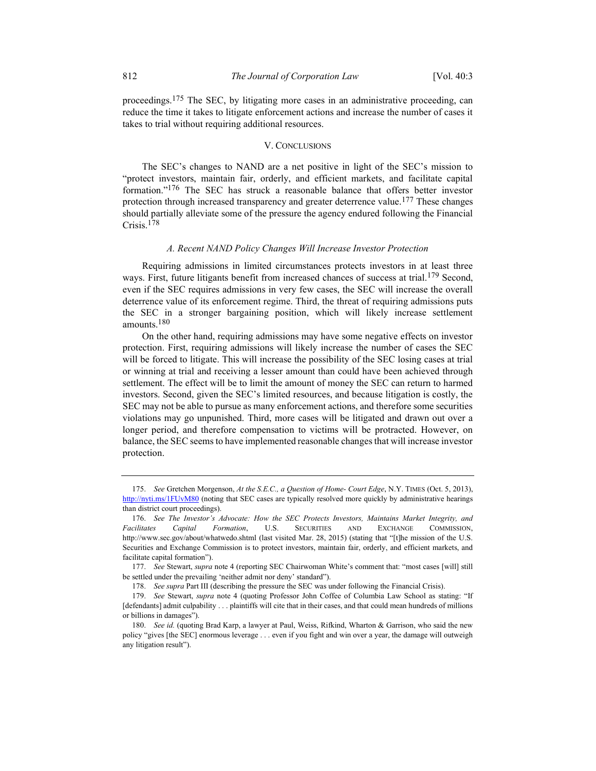proceedings.175 The SEC, by litigating more cases in an administrative proceeding, can reduce the time it takes to litigate enforcement actions and increase the number of cases it takes to trial without requiring additional resources.

#### V. CONCLUSIONS

The SEC's changes to NAND are a net positive in light of the SEC's mission to "protect investors, maintain fair, orderly, and efficient markets, and facilitate capital formation."176 The SEC has struck a reasonable balance that offers better investor protection through increased transparency and greater deterrence value.<sup>177</sup> These changes should partially alleviate some of the pressure the agency endured following the Financial Crisis.178

#### A. Recent NAND Policy Changes Will Increase Investor Protection

Requiring admissions in limited circumstances protects investors in at least three ways. First, future litigants benefit from increased chances of success at trial.<sup>179</sup> Second, even if the SEC requires admissions in very few cases, the SEC will increase the overall deterrence value of its enforcement regime. Third, the threat of requiring admissions puts the SEC in a stronger bargaining position, which will likely increase settlement amounts.<sup>180</sup>

On the other hand, requiring admissions may have some negative effects on investor protection. First, requiring admissions will likely increase the number of cases the SEC will be forced to litigate. This will increase the possibility of the SEC losing cases at trial or winning at trial and receiving a lesser amount than could have been achieved through settlement. The effect will be to limit the amount of money the SEC can return to harmed investors. Second, given the SEC's limited resources, and because litigation is costly, the SEC may not be able to pursue as many enforcement actions, and therefore some securities violations may go unpunished. Third, more cases will be litigated and drawn out over a longer period, and therefore compensation to victims will be protracted. However, on balance, the SEC seems to have implemented reasonable changes that will increase investor protection.

 <sup>175.</sup> See Gretchen Morgenson, At the S.E.C., a Question of Home- Court Edge, N.Y. TIMES (Oct. 5, 2013), http://nyti.ms/1FUvM80 (noting that SEC cases are typically resolved more quickly by administrative hearings than district court proceedings).

 <sup>176.</sup> See The Investor's Advocate: How the SEC Protects Investors, Maintains Market Integrity, and Facilitates Capital Formation, U.S. SECURITIES AND EXCHANGE COMMISSION, http://www.sec.gov/about/whatwedo.shtml (last visited Mar. 28, 2015) (stating that "[t]he mission of the U.S. Securities and Exchange Commission is to protect investors, maintain fair, orderly, and efficient markets, and facilitate capital formation").

<sup>177.</sup> See Stewart, supra note 4 (reporting SEC Chairwoman White's comment that: "most cases [will] still be settled under the prevailing 'neither admit nor deny' standard").

<sup>178.</sup> See supra Part III (describing the pressure the SEC was under following the Financial Crisis).

<sup>179.</sup> See Stewart, *supra* note 4 (quoting Professor John Coffee of Columbia Law School as stating: "If [defendants] admit culpability . . . plaintiffs will cite that in their cases, and that could mean hundreds of millions or billions in damages").

<sup>180.</sup> See id. (quoting Brad Karp, a lawyer at Paul, Weiss, Rifkind, Wharton & Garrison, who said the new policy "gives [the SEC] enormous leverage . . . even if you fight and win over a year, the damage will outweigh any litigation result").